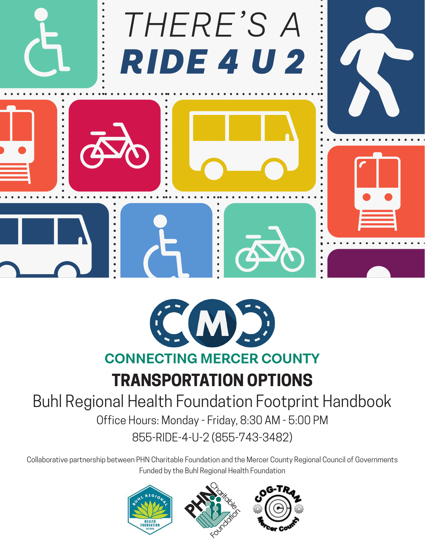



# **CONNECTING MERCER COUNTY**

# **TRANSPORTATION OPTIONS**

#### Buhl Regional Health Foundation Footprint Handbook Office Hours: Monday - Friday, 8:30 AM - 5:00 PM 855-RIDE-4-U-2 (855-743-3482)

Collaborative partnership between PHN Charitable Foundation and the Mercer County Regional Council of Governments Funded by the Buhl Regional Health Foundation

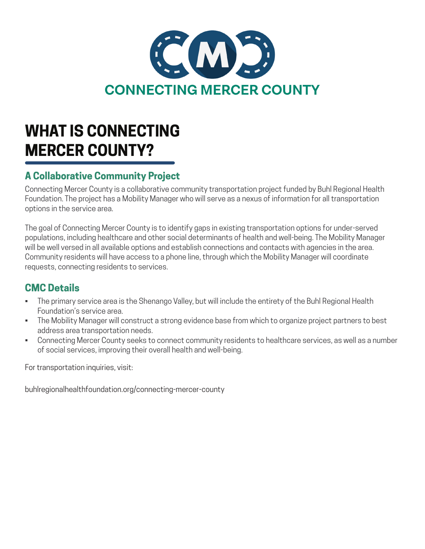

# **WHAT IS CONNECTING MERCER COUNTY?**

#### **A Collaborative Community Project**

Connecting Mercer County is a collaborative community transportation project funded by Buhl Regional Health Foundation. The project has a Mobility Manager who will serve as a nexus of information for all transportation options in the service area.

The goal of Connecting Mercer County is to identify gaps in existing transportation options for under-served populations, including healthcare and other social determinants of health and well-being. The Mobility Manager will be well versed in all available options and establish connections and contacts with agencies in the area. Community residents will have access to a phone line, through which the Mobility Manager will coordinate requests, connecting residents to services.

#### **CMC Details**

- The primary service area is the Shenango Valley, but will include the entirety of the Buhl Regional Health Foundation's service area.
- The Mobility Manager will construct a strong evidence base from which to organize project partners to best address area transportation needs.
- Connecting Mercer County seeks to connect community residents to healthcare services, as well as a number of social services, improving their overall health and well-being.

For transportation inquiries, visit:

buhlregionalhealthfoundation.org/connecting-mercer-county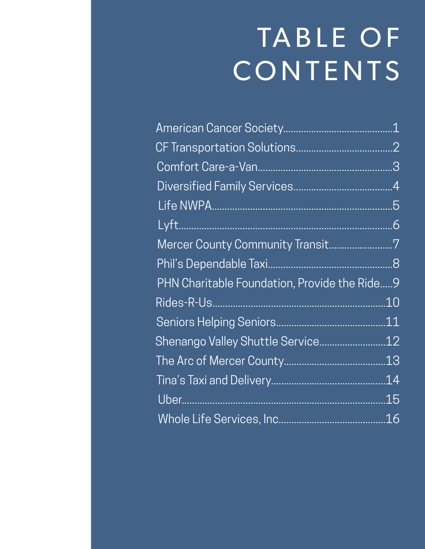# TABLE OF CONTENTS

|                                              | $\overline{1}$ |
|----------------------------------------------|----------------|
|                                              |                |
|                                              |                |
|                                              |                |
|                                              |                |
|                                              |                |
| Mercer County Community Transit7             |                |
|                                              |                |
| PHN Charitable Foundation, Provide the Ride. | .9             |
| Rides-R-Us.                                  | 10             |
|                                              | .11            |
| Shenango Valley Shuttle Service12            |                |
|                                              | .13            |
|                                              | .14            |
|                                              | .15            |
|                                              |                |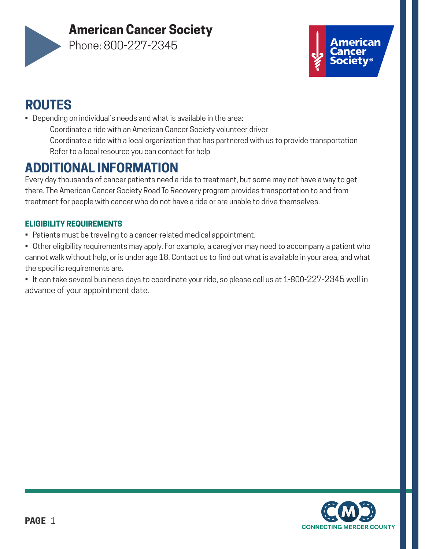#### **American Cancer Society**



Phone: 800-227-2345



#### **ROUTES**

- Depending on individual's needs and what is available in the area:
	- Coordinate a ride with an American Cancer Society volunteer driver Coordinate a ride with a local organization that has partnered with us to provide transportation Refer to a local resource you can contact for help

#### **ADDITIONAL INFORMATION**

Every day thousands of cancer patients need a ride to treatment, but some may not have a way to get there. The American Cancer Society Road To Recovery program provides transportation to and from treatment for people with cancer who do not have a ride or are unable to drive themselves.

#### **ELIGIBILITY REQUIREMENTS**

- Patients must be traveling to a cancer-related medical appointment.
- Other eligibility requirements may apply. For example, a caregiver may need to accompany a patient who cannot walk without help, or is under age 18. Contact us to find out what is available in your area, and what the specific requirements are.
- It can take several business days to coordinate your ride, so please call us at 1-800-227-2345 well in advance of your appointment date.

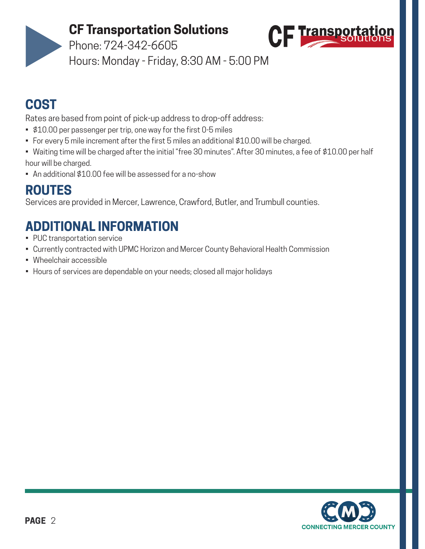#### **CF Transportation Solutions**



Phone: 724-342-6605

Hours: Monday - Friday, 8:30 AM - 5:00 PM

#### **COST**

Rates are based from point of pick-up address to drop-off address:

- \$10.00 per passenger per trip, one way for the first 0-5 miles
- For every 5 mile increment after the first 5 miles an additional \$10.00 will be charged.
- Waiting time will be charged after the initial "free 30 minutes". After 30 minutes, a fee of \$10.00 per half hour will be charged.
- An additional \$10.00 fee will be assessed for a no-show

#### **ROUTES**

Services are provided in Mercer, Lawrence, Crawford, Butler, and Trumbull counties.

- PUC transportation service
- Currently contracted with UPMC Horizon and Mercer County Behavioral Health Commission
- Wheelchair accessible
- Hours of services are dependable on your needs; closed all major holidays

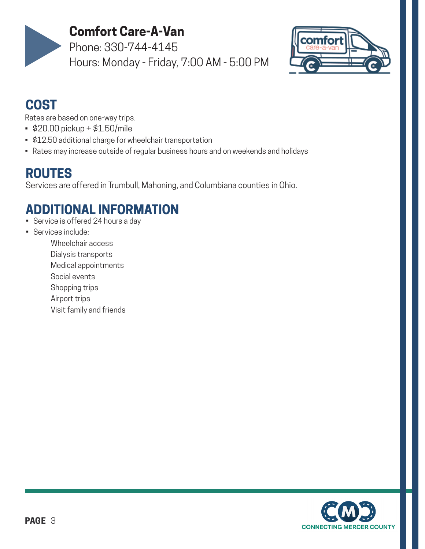

#### **Comfort Care-A-Van**

Phone: 330-744-4145 Hours: Monday - Friday, 7:00 AM - 5:00 PM



#### **COST**

Rates are based on one-way trips.

- \$20.00 pickup + \$1.50/mile
- \$12.50 additional charge for wheelchair transportation
- Rates may increase outside of regular business hours and on weekends and holidays

#### **ROUTES**

Services are offered in Trumbull, Mahoning, and Columbiana counties in Ohio.

- Service is offered 24 hours a day
- Services include:
	- Wheelchair access
	- Dialysis transports
	- Medical appointments
	- Social events
	- Shopping trips
	- Airport trips
	- Visit family and friends

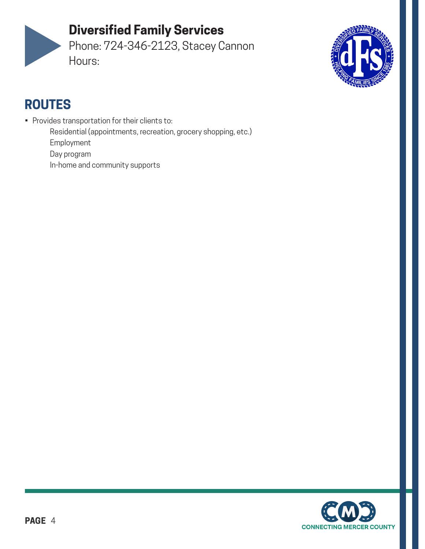#### **Diversified Family Services**

Phone: 724-346-2123, Stacey Cannon Hours:



- Provides transportation for their clients to: Residential (appointments, recreation, grocery shopping, etc.) Employment Day program
	- In-home and community supports

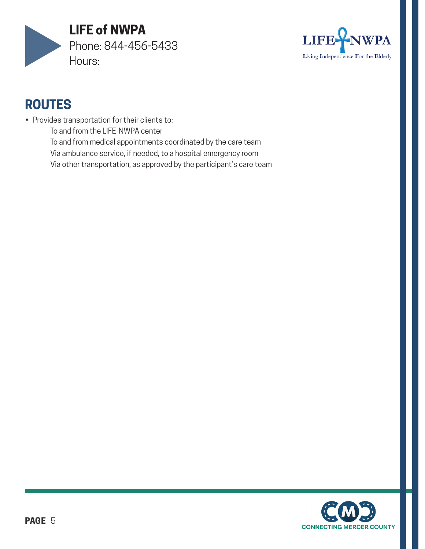



- Provides transportation for their clients to:
	- To and from the LIFE-NWPA center
	- To and from medical appointments coordinated by the care team
	- Via ambulance service, if needed, to a hospital emergency room
	- Via other transportation, as approved by the participant's care team

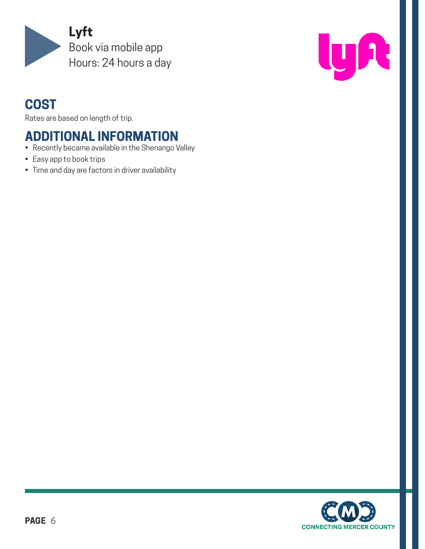



#### **COST**

Rates are based on length of trip.

- Recently became available in the Shenango Valley
- Easy app to book trips
- Time and day are factors in driver availability

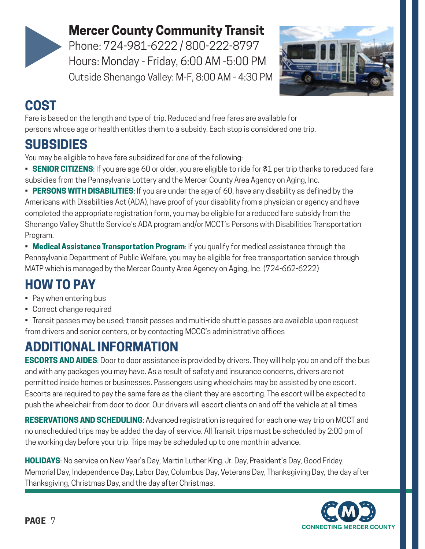

#### **Mercer County Community Transit**

Phone: 724-981-6222 / 800-222-8797 Hours: Monday - Friday, 6:00 AM -5:00 PM Outside Shenango Valley: M-F, 8:00 AM - 4:30 PM



#### **COST**

Fare is based on the length and type of trip. Reduced and free fares are available for persons whose age or health entitles them to a subsidy. Each stop is considered one trip.

#### **SUBSIDIES**

You may be eligible to have fare subsidized for one of the following:

- **SENIOR CITIZENS**: If you are age 60 or older, you are eligible to ride for \$1 per trip thanks to reduced fare subsidies from the Pennsylvania Lottery and the Mercer County Area Agency on Aging, Inc.
- **PERSONS WITH DISABILITIES**: If you are under the age of 60, have any disability as defined by the Americans with Disabilities Act (ADA), have proof of your disability from a physician or agency and have completed the appropriate registration form, you may be eligible for a reduced fare subsidy from the Shenango Valley Shuttle Service's ADA program and/or MCCT's Persons with Disabilities Transportation Program.
- **Medical Assistance Transportation Program**: If you qualify for medical assistance through the Pennsylvania Department of Public Welfare, you may be eligible for free transportation service through MATP which is managed by the Mercer County Area Agency on Aging, Inc. (724-662-6222)

# **HOW TO PAY**

- Pay when entering bus
- Correct change required
- Transit passes may be used; transit passes and multi-ride shuttle passes are available upon request from drivers and senior centers, or by contacting MCCC's administrative offices

# **ADDITIONAL INFORMATION**

**ESCORTS AND AIDES**: Door to door assistance is provided by drivers. They will help you on and off the bus and with any packages you may have. As a result of safety and insurance concerns, drivers are not permitted inside homes or businesses. Passengers using wheelchairs may be assisted by one escort. Escorts are required to pay the same fare as the client they are escorting. The escort will be expected to push the wheelchair from door to door. Our drivers will escort clients on and off the vehicle at all times.

**RESERVATIONS AND SCHEDULING**: Advanced registration is required for each one-way trip on MCCT and no unscheduled trips may be added the day of service. All Transit trips must be scheduled by 2:00 pm of the working day before your trip. Trips may be scheduled up to one month in advance.

**HOLIDAYS**: No service on New Year's Day, Martin Luther King, Jr. Day, President's Day, Good Friday, Memorial Day, Independence Day, Labor Day, Columbus Day, Veterans Day, Thanksgiving Day, the day after Thanksgiving, Christmas Day, and the day after Christmas.

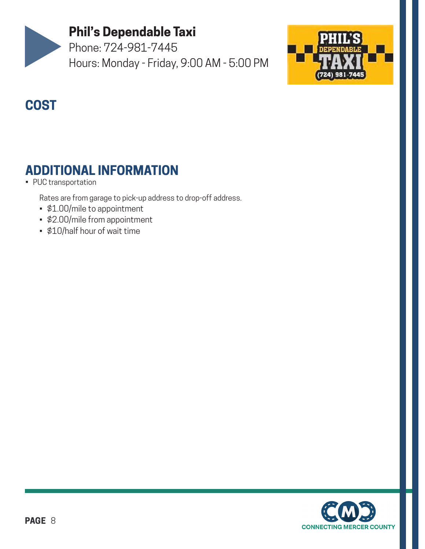

#### **Phil's Dependable Taxi**

Phone: 724-981-7445 Hours: Monday - Friday, 9:00 AM - 5:00 PM



#### **COST**

#### **ADDITIONAL INFORMATION**

#### • PUC transportation

Rates are from garage to pick-up address to drop-off address.

- \$1.00/mile to appointment
- \$2.00/mile from appointment
- \$10/half hour of wait time

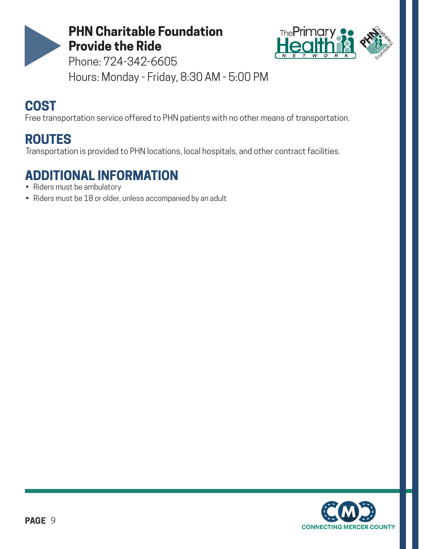



Phone: 724-342-6605 Hours: Monday - Friday, 8:30 AM - 5:00 PM

#### **COST**

Free transportation service offered to PHN patients with no other means of transportation.

#### **ROUTES**

Transportation is provided to PHN locations, local hospitals, and other contract facilities.

- Riders must be ambulatory
- Riders must be 18 or older, unless accompanied by an adult

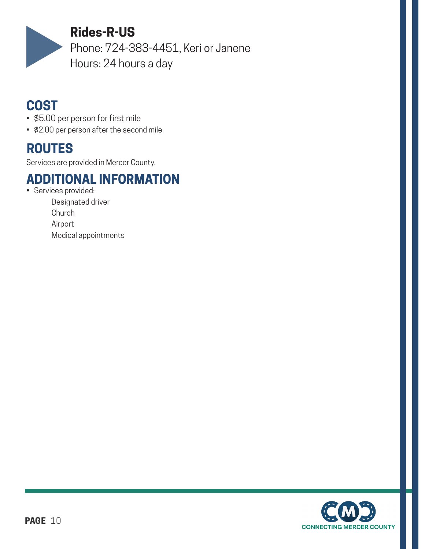

#### **Rides-R-US**

Phone: 724-383-4451, Keri or Janene Hours: 24 hours a day

#### **COST**

- \$5.00 per person for first mile
- \$2.00 per person after the second mile

#### **ROUTES**

Services are provided in Mercer County.

#### **ADDITIONAL INFORMATION**

• Services provided:

Designated driver **Church** Airport Medical appointments

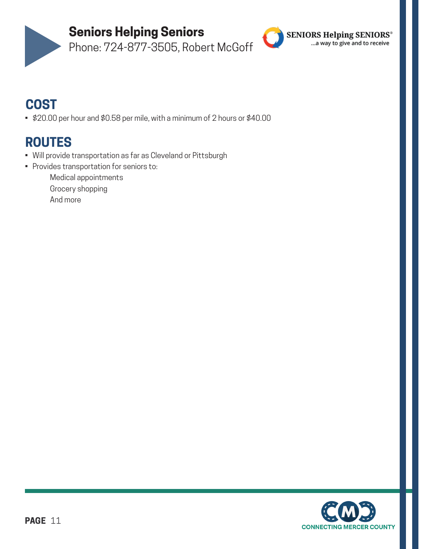

**Seniors Helping Seniors**

Phone: 724-877-3505, Robert McGoff



#### **COST**

• \$20.00 per hour and \$0.58 per mile, with a minimum of 2 hours or \$40.00

- Will provide transportation as far as Cleveland or Pittsburgh
- Provides transportation for seniors to: Medical appointments Grocery shopping And more

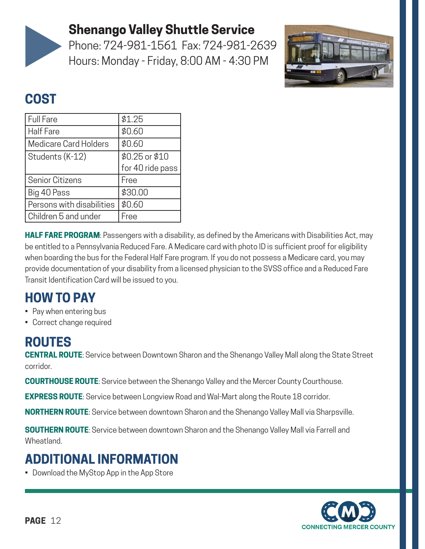

#### **Shenango Valley Shuttle Service**

Phone: 724-981-1561 Fax: 724-981-2639 Hours: Monday - Friday, 8:00 AM - 4:30 PM



#### **COST**

| Full Fare                 | \$1.25           |
|---------------------------|------------------|
| <b>Half Fare</b>          | \$0.60           |
| Medicare Card Holders     | \$0.60           |
| Students (K-12)           | \$0.25 or \$10   |
|                           | for 40 ride pass |
| Senior Citizens           | Free             |
| Big 40 Pass               | \$30.00          |
| Persons with disabilities | \$0.60           |
| Children 5 and under      | Free             |

**HALF FARE PROGRAM**: Passengers with a disability, as defined by the Americans with Disabilities Act, may be entitled to a Pennsylvania Reduced Fare. A Medicare card with photo ID is sufficient proof for eligibility when boarding the bus for the Federal Half Fare program. If you do not possess a Medicare card, you may provide documentation of your disability from a licensed physician to the SVSS office and a Reduced Fare Transit Identification Card will be issued to you.

#### **HOW TO PAY**

- Pay when entering bus
- Correct change required

#### **ROUTES**

**CENTRAL ROUTE**: Service between Downtown Sharon and the Shenango Valley Mall along the State Street corridor.

**COURTHOUSE ROUTE**: Service between the Shenango Valley and the Mercer County Courthouse.

**EXPRESS ROUTE**: Service between Longview Road and Wal-Mart along the Route 18 corridor.

**NORTHERN ROUTE**: Service between downtown Sharon and the Shenango Valley Mall via Sharpsville.

**SOUTHERN ROUTE**: Service between downtown Sharon and the Shenango Valley Mall via Farrell and Wheatland.

#### **ADDITIONAL INFORMATION**

• Download the MyStop App in the App Store

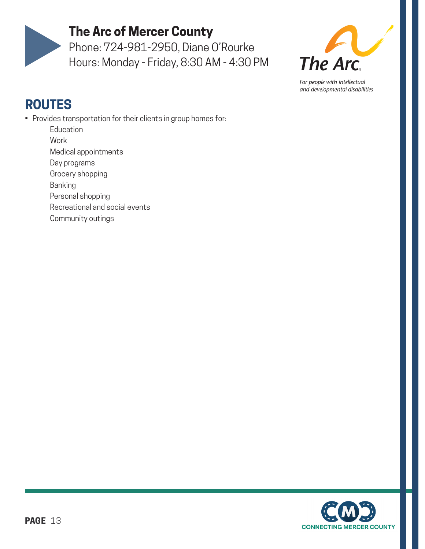

#### **The Arc of Mercer County**

Phone: 724-981-2950, Diane O'Rourke Hours: Monday - Friday, 8:30 AM - 4:30 PM



For people with intellectual and developmental disabilities

- Provides transportation for their clients in group homes for:
	- **Education**
	- Work
	- Medical appointments
	- Day programs
	- Grocery shopping
	- Banking
	- Personal shopping
	- Recreational and social events
	- Community outings

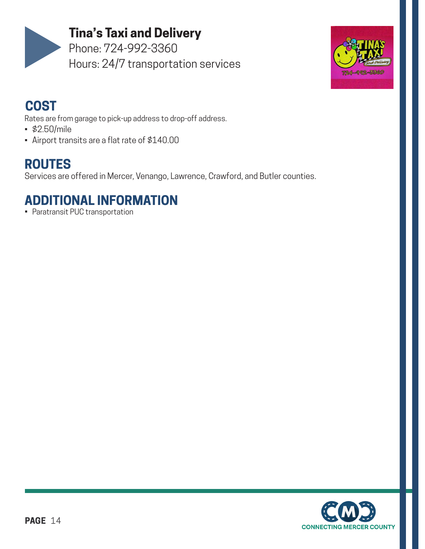

#### **Tina's Taxi and Delivery**

Phone: 724-992-3360 Hours: 24/7 transportation services



#### **COST**

Rates are from garage to pick-up address to drop-off address.

- \$2.50/mile
- Airport transits are a flat rate of \$140.00

## **ROUTES**

Services are offered in Mercer, Venango, Lawrence, Crawford, and Butler counties.

#### **ADDITIONAL INFORMATION**

• Paratransit PUC transportation

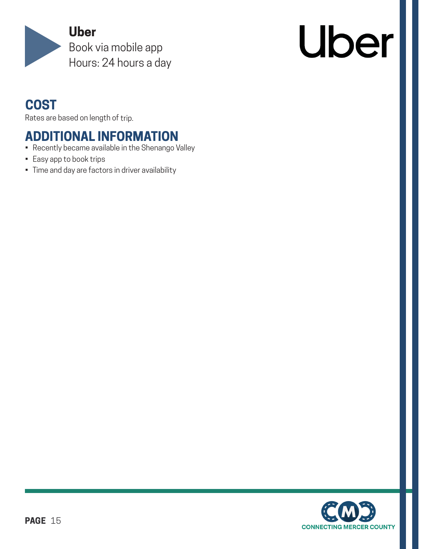

# Uber

#### **COST**

Rates are based on length of trip.

- Recently became available in the Shenango Valley
- Easy app to book trips
- Time and day are factors in driver availability